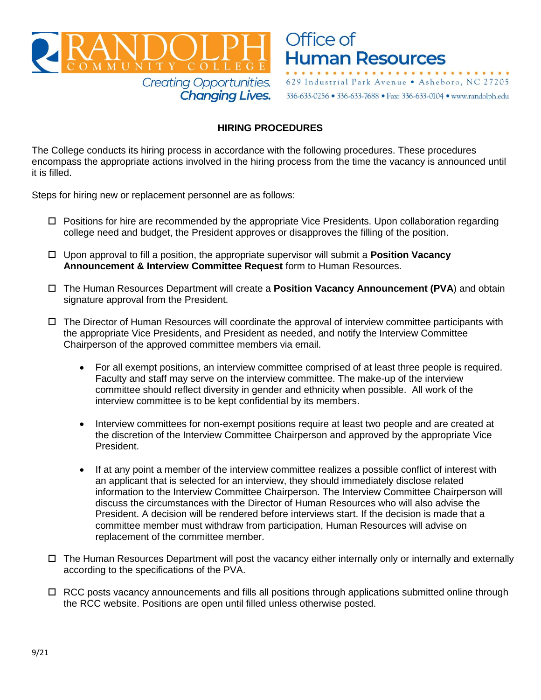



336-633-0256 · 336-633-7688 · Fax: 336-633-0104 · www.randolph.edu

## **HIRING PROCEDURES**

The College conducts its hiring process in accordance with the following procedures. These procedures encompass the appropriate actions involved in the hiring process from the time the vacancy is announced until it is filled.

Steps for hiring new or replacement personnel are as follows:

- $\Box$  Positions for hire are recommended by the appropriate Vice Presidents. Upon collaboration regarding college need and budget, the President approves or disapproves the filling of the position.
- Upon approval to fill a position, the appropriate supervisor will submit a **Position Vacancy Announcement & Interview Committee Request** form to Human Resources.
- The Human Resources Department will create a **Position Vacancy Announcement (PVA**) and obtain signature approval from the President.
- $\Box$  The Director of Human Resources will coordinate the approval of interview committee participants with the appropriate Vice Presidents, and President as needed, and notify the Interview Committee Chairperson of the approved committee members via email.
	- For all exempt positions, an interview committee comprised of at least three people is required. Faculty and staff may serve on the interview committee. The make-up of the interview committee should reflect diversity in gender and ethnicity when possible. All work of the interview committee is to be kept confidential by its members.
	- Interview committees for non-exempt positions require at least two people and are created at the discretion of the Interview Committee Chairperson and approved by the appropriate Vice President.
	- If at any point a member of the interview committee realizes a possible conflict of interest with an applicant that is selected for an interview, they should immediately disclose related information to the Interview Committee Chairperson. The Interview Committee Chairperson will discuss the circumstances with the Director of Human Resources who will also advise the President. A decision will be rendered before interviews start. If the decision is made that a committee member must withdraw from participation, Human Resources will advise on replacement of the committee member.
- $\Box$  The Human Resources Department will post the vacancy either internally only or internally and externally according to the specifications of the PVA.
- $\Box$  RCC posts vacancy announcements and fills all positions through applications submitted online through the RCC website. [Positions are open until filled unles](http://randolph.edu/rcc-jobs.html)s otherwise posted.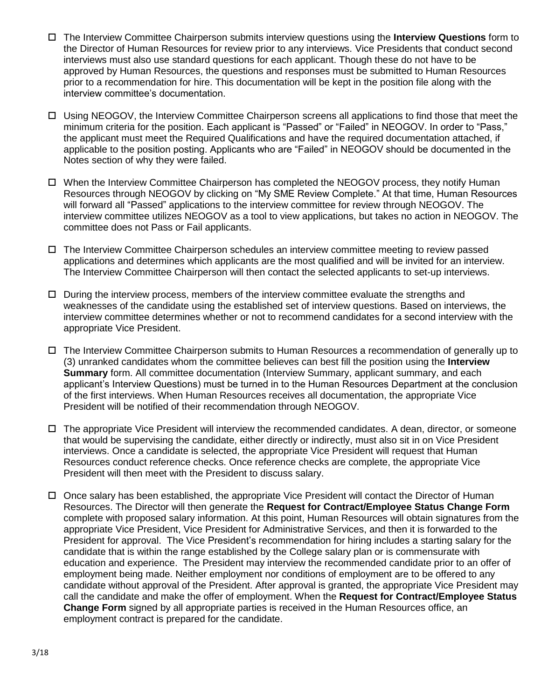- The Interview Committee Chairperson submits interview questions using the **Interview Questions** form to the Director of Human Resources for review prior to any interviews. Vice Presidents that conduct second interviews must also use standard questions for each applicant. Though these do not have to be approved by Human Resources, the questions and responses must be submitted to Human Resources prior to a recommendation for hire. This documentation will be kept in the position file along with the interview committee's documentation.
- Using NEOGOV, the Interview Committee Chairperson screens all applications to find those that meet the minimum criteria for the position. Each applicant is "Passed" or "Failed" in NEOGOV. In order to "Pass," the applicant must meet the Required Qualifications and have the required documentation attached, if applicable to the position posting. Applicants who are "Failed" in NEOGOV should be documented in the Notes section of why they were failed.
- $\Box$  When the Interview Committee Chairperson has completed the NEOGOV process, they notify Human Resources through NEOGOV by clicking on "My SME Review Complete." At that time, Human Resources will forward all "Passed" applications to the interview committee for review through NEOGOV. The interview committee utilizes NEOGOV as a tool to view applications, but takes no action in NEOGOV. The committee does not Pass or Fail applicants.
- The Interview Committee Chairperson schedules an interview committee meeting to review passed applications and determines which applicants are the most qualified and will be invited for an interview. The Interview Committee Chairperson will then contact the selected applicants to set-up interviews.
- $\Box$  During the interview process, members of the interview committee evaluate the strengths and weaknesses of the candidate using the established set of interview questions. Based on interviews, the interview committee determines whether or not to recommend candidates for a second interview with the appropriate Vice President.
- The Interview Committee Chairperson submits to Human Resources a recommendation of generally up to (3) unranked candidates whom the committee believes can best fill the position using the **Interview Summary** form. All committee documentation (Interview Summary, applicant summary, and each applicant's Interview Questions) must be turned in to the Human Resources Department at the conclusion of the first interviews. When Human Resources receives all documentation, the appropriate Vice President will be notified of their recommendation through NEOGOV.
- $\Box$  The appropriate Vice President will interview the recommended candidates. A dean, director, or someone that would be supervising the candidate, either directly or indirectly, must also sit in on Vice President interviews. Once a candidate is selected, the appropriate Vice President will request that Human Resources conduct reference checks. Once reference checks are complete, the appropriate Vice President will then meet with the President to discuss salary.
- Once salary has been established, the appropriate Vice President will contact the Director of Human Resources. The Director will then generate the **Request for Contract/Employee Status Change Form** complete with proposed salary information. At this point, Human Resources will obtain signatures from the appropriate Vice President, Vice President for Administrative Services, and then it is forwarded to the President for approval. The Vice President's recommendation for hiring includes a starting salary for the candidate that is within the range established by the College salary plan or is commensurate with education and experience. The President may interview the recommended candidate prior to an offer of employment being made. Neither employment nor conditions of employment are to be offered to any candidate without approval of the President. After approval is granted, the appropriate Vice President may call the candidate and make the offer of employment. When the **Request for Contract/Employee Status Change Form** signed by all appropriate parties is received in the Human Resources office, an employment contract is prepared for the candidate.